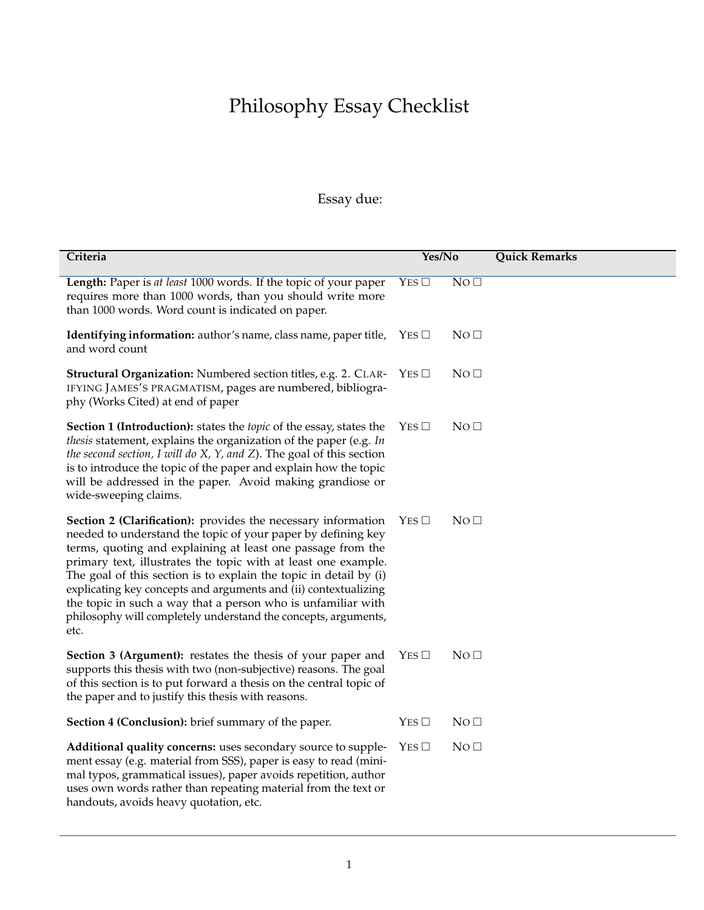## Philosophy Essay Checklist

## Essay due:

| Criteria                                                                                                                                                                                                                                                                                                                                                                                                                                                                                                                                         | Yes/No          |                 | <b>Quick Remarks</b> |
|--------------------------------------------------------------------------------------------------------------------------------------------------------------------------------------------------------------------------------------------------------------------------------------------------------------------------------------------------------------------------------------------------------------------------------------------------------------------------------------------------------------------------------------------------|-----------------|-----------------|----------------------|
| Length: Paper is at least 1000 words. If the topic of your paper<br>requires more than 1000 words, than you should write more<br>than 1000 words. Word count is indicated on paper.                                                                                                                                                                                                                                                                                                                                                              | YES             | NO <sub>1</sub> |                      |
| Identifying information: author's name, class name, paper title,<br>and word count                                                                                                                                                                                                                                                                                                                                                                                                                                                               | $YES$ $\square$ | NO <sub>0</sub> |                      |
| Structural Organization: Numbered section titles, e.g. 2. CLAR-<br>IFYING JAMES'S PRAGMATISM, pages are numbered, bibliogra-<br>phy (Works Cited) at end of paper                                                                                                                                                                                                                                                                                                                                                                                | $YES$ $\square$ | NO <sub>1</sub> |                      |
| Section 1 (Introduction): states the <i>topic</i> of the essay, states the<br>thesis statement, explains the organization of the paper (e.g. In<br>the second section, I will do $X$ , $Y$ , and $Z$ ). The goal of this section<br>is to introduce the topic of the paper and explain how the topic<br>will be addressed in the paper. Avoid making grandiose or<br>wide-sweeping claims.                                                                                                                                                       | $YES$ $\square$ | NO <sub>0</sub> |                      |
| Section 2 (Clarification): provides the necessary information<br>needed to understand the topic of your paper by defining key<br>terms, quoting and explaining at least one passage from the<br>primary text, illustrates the topic with at least one example.<br>The goal of this section is to explain the topic in detail by (i)<br>explicating key concepts and arguments and (ii) contextualizing<br>the topic in such a way that a person who is unfamiliar with<br>philosophy will completely understand the concepts, arguments,<br>etc. | YES             | NO <sub>1</sub> |                      |
| Section 3 (Argument): restates the thesis of your paper and<br>supports this thesis with two (non-subjective) reasons. The goal<br>of this section is to put forward a thesis on the central topic of<br>the paper and to justify this thesis with reasons.                                                                                                                                                                                                                                                                                      | YES             | NO <sub>1</sub> |                      |
| <b>Section 4 (Conclusion):</b> brief summary of the paper.                                                                                                                                                                                                                                                                                                                                                                                                                                                                                       | YES             | NO <sub>0</sub> |                      |
| Additional quality concerns: uses secondary source to supple-<br>ment essay (e.g. material from SSS), paper is easy to read (mini-<br>mal typos, grammatical issues), paper avoids repetition, author<br>uses own words rather than repeating material from the text or<br>handouts, avoids heavy quotation, etc.                                                                                                                                                                                                                                | YES             | NO <sub>0</sub> |                      |